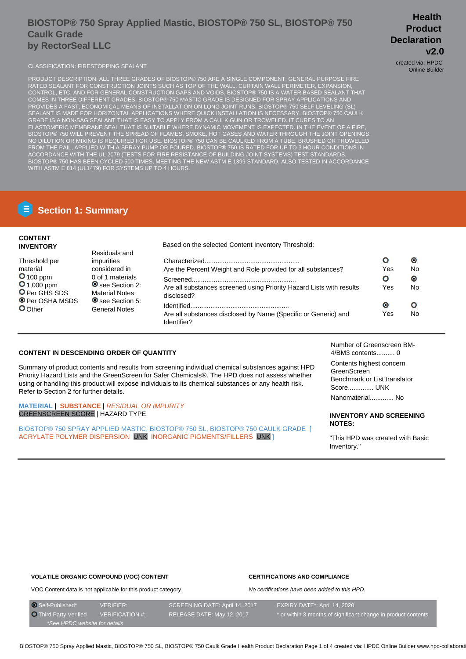# **BIOSTOP® 750 Spray Applied Mastic, BIOSTOP® 750 SL, BIOSTOP® 750 Caulk Grade by RectorSeal LLC**

CLASSIFICATION: FIRESTOPPING SEALANT CLASSIFICATION: FIRESTOPPING SEALANT

PRODUCT DESCRIPTION: ALL THREE GRADES OF BIOSTOP® 750 ARE A SINGLE COMPONENT, GENERAL PURPOSE FIRE RATED SEALANT FOR CONSTRUCTION JOINTS SUCH AS TOP OF THE WALL, CURTAIN WALL PERIMETER, EXPANSION, CONTROL, ETC. AND FOR GENERAL CONSTRUCTION GAPS AND VOIDS. BIOSTOP® 750 IS A WATER BASED SEALANT THAT COMES IN THREE DIFFERENT GRADES. BIOSTOP® 750 MASTIC GRADE IS DESIGNED FOR SPRAY APPLICATIONS AND PROVIDES A FAST, ECONOMICAL MEANS OF INSTALLATION ON LONG JOINT RUNS. BIOSTOP® 750 SELF-LEVELING (SL) SEALANT IS MADE FOR HORIZONTAL APPLICATIONS WHERE QUICK INSTALLATION IS NECESSARY. BIOSTOP® 750 CAULK GRADE IS A NON-SAG SEALANT THAT IS EASY TO APPLY FROM A CAULK GUN OR TROWELED. IT CURES TO AN ELASTOMERIC MEMBRANE SEAL THAT IS SUITABLE WHERE DYNAMIC MOVEMENT IS EXPECTED. IN THE EVENT OF A FIRE, BIOSTOP® 750 WILL PREVENT THE SPREAD OF FLAMES, SMOKE, HOT GASES AND WATER THROUGH THE JOINT OPENINGS. NO DILUTION OR MIXING IS REQUIRED FOR USE. BIOSTOP® 750 CAN BE CAULKED FROM A TUBE, BRUSHED OR TROWELED FROM THE PAIL, APPLIED WITH A SPRAY PUMP OR POURED. BIOSTOP® 750 IS RATED FOR UP TO 3 HOUR CONDITIONS IN ACCORDANCE WITH THE UL 2079 (TESTS FOR FIRE RESISTANCE OF BUILDING JOINT SYSTEMS) TEST STANDARDS. BIOSTOP® 750 HAS BEEN CYCLED 500 TIMES, MEETING THE NEW ASTM E 1399 STANDARD. ALSO TESTED IN ACCORDANCE WITH ASTM E 814 (UL1479) FOR SYSTEMS UP TO 4 HOURS.

# **Section 1: Summary**

**CONTENT INVENTORY**

# Based on the selected Content Inventory Threshold:

|                                                            | Residuals and                                                        |                                                                                    |           |           |
|------------------------------------------------------------|----------------------------------------------------------------------|------------------------------------------------------------------------------------|-----------|-----------|
| Threshold per                                              | impurities                                                           |                                                                                    |           | O         |
| material                                                   | considered in                                                        | Are the Percent Weight and Role provided for all substances?                       | Yes       | No        |
| $O$ 100 ppm                                                | 0 of 1 materials                                                     |                                                                                    |           | $\bullet$ |
| $O_{1,000}$ ppm<br>O Per GHS SDS<br><b>O</b> Per OSHA MSDS | <b>◎</b> see Section 2:<br><b>Material Notes</b><br>■ see Section 5: | Are all substances screened using Priority Hazard Lists with results<br>disclosed? | Yes       | No        |
| O Other                                                    | <b>General Notes</b>                                                 |                                                                                    | $\bullet$ |           |
|                                                            |                                                                      | Are all substances disclosed by Name (Specific or Generic) and<br>Identifier?      | Yes       | No        |

## **CONTENT IN DESCENDING ORDER OF QUANTITY**

Summary of product contents and results from screening individual chemical substances against HPD Priority Hazard Lists and the GreenScreen for Safer Chemicals®. The HPD does not assess whether using or handling this product will expose individuals to its chemical substances or any health risk. Refer to Section 2 for further details.

**MATERIAL | SUBSTANCE |** RESIDUAL OR IMPURITY GREENSCREEN SCORE | HAZARD TYPE

BIOSTOP® 750 SPRAY APPLIED MASTIC, BIOSTOP® 750 SL, BIOSTOP® 750 CAULK GRADE [ ACRYLATE POLYMER DISPERSION UNK INORGANIC PIGMENTS/FILLERS UNK ]

Number of Greenscreen BM-4/BM3 contents.......... 0

Contents highest concern GreenScreen Benchmark or List translator Score.............. UNK

Nanomaterial............. No

## **INVENTORY AND SCREENING NOTES:**

"This HPD was created with Basic Inventory."

### **VOLATILE ORGANIC COMPOUND (VOC) CONTENT**

#### **CERTIFICATIONS AND COMPLIANCE**

No certifications have been added to this HPD.

VOC Content data is not applicable for this product category.

O Self-Published\* VERIFIER: SCREENING DATE: April 14, 2017 EXPIRY DATE\*: April 14, 2020 O Third Party Verified VERIFICATION #: RELEASE DATE: May 12, 2017 \* or within 3 months of significant change in product contents \*See HPDC website for details

BIOSTOP® 750 Spray Applied Mastic, BIOSTOP® 750 SL, BIOSTOP® 750 Caulk Grade Health Product Declaration Page 1 of 4 created via: HPDC Online Builder www.hpd-collaborat

**Health Product Declaration v2.0**

Online Builder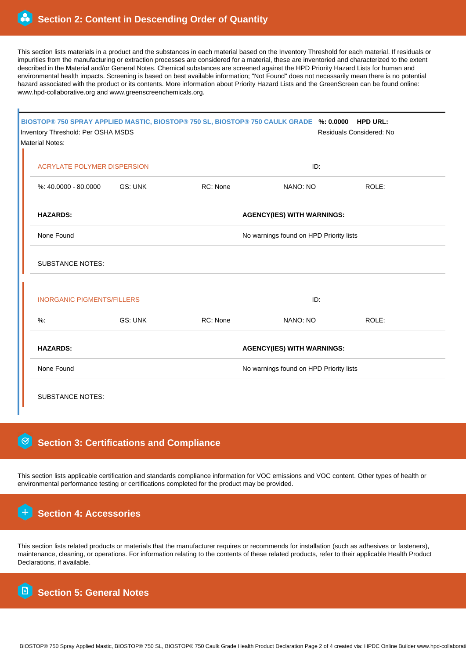This section lists materials in a product and the substances in each material based on the Inventory Threshold for each material. If residuals or impurities from the manufacturing or extraction processes are considered for a material, these are inventoried and characterized to the extent described in the Material and/or General Notes. Chemical substances are screened against the HPD Priority Hazard Lists for human and environmental health impacts. Screening is based on best available information; "Not Found" does not necessarily mean there is no potential hazard associated with the product or its contents. More information about Priority Hazard Lists and the GreenScreen can be found online: www.hpd-collaborative.org and www.greenscreenchemicals.org.

| Inventory Threshold: Per OSHA MSDS<br><b>Material Notes:</b> |                                         |          | BIOSTOP® 750 SPRAY APPLIED MASTIC, BIOSTOP® 750 SL, BIOSTOP® 750 CAULK GRADE %: 0.0000 HPD URL:<br>Residuals Considered: No |       |  |  |  |
|--------------------------------------------------------------|-----------------------------------------|----------|-----------------------------------------------------------------------------------------------------------------------------|-------|--|--|--|
| <b>ACRYLATE POLYMER DISPERSION</b>                           |                                         | ID:      |                                                                                                                             |       |  |  |  |
| $%: 40.0000 - 80.0000$                                       | GS: UNK                                 | RC: None | NANO: NO                                                                                                                    | ROLE: |  |  |  |
| <b>HAZARDS:</b><br><b>AGENCY(IES) WITH WARNINGS:</b>         |                                         |          |                                                                                                                             |       |  |  |  |
| None Found<br>No warnings found on HPD Priority lists        |                                         |          |                                                                                                                             |       |  |  |  |
| <b>SUBSTANCE NOTES:</b>                                      |                                         |          |                                                                                                                             |       |  |  |  |
| <b>INORGANIC PIGMENTS/FILLERS</b>                            |                                         | ID:      |                                                                                                                             |       |  |  |  |
| $%$ :                                                        | <b>GS: UNK</b>                          | RC: None | NANO: NO                                                                                                                    | ROLE: |  |  |  |
| <b>HAZARDS:</b><br><b>AGENCY(IES) WITH WARNINGS:</b>         |                                         |          |                                                                                                                             |       |  |  |  |
| None Found                                                   | No warnings found on HPD Priority lists |          |                                                                                                                             |       |  |  |  |
| <b>SUBSTANCE NOTES:</b>                                      |                                         |          |                                                                                                                             |       |  |  |  |

# **Section 3: Certifications and Compliance**

This section lists applicable certification and standards compliance information for VOC emissions and VOC content. Other types of health or environmental performance testing or certifications completed for the product may be provided.

 **Section 4: Accessories**

This section lists related products or materials that the manufacturer requires or recommends for installation (such as adhesives or fasteners), maintenance, cleaning, or operations. For information relating to the contents of these related products, refer to their applicable Health Product Declarations, if available.

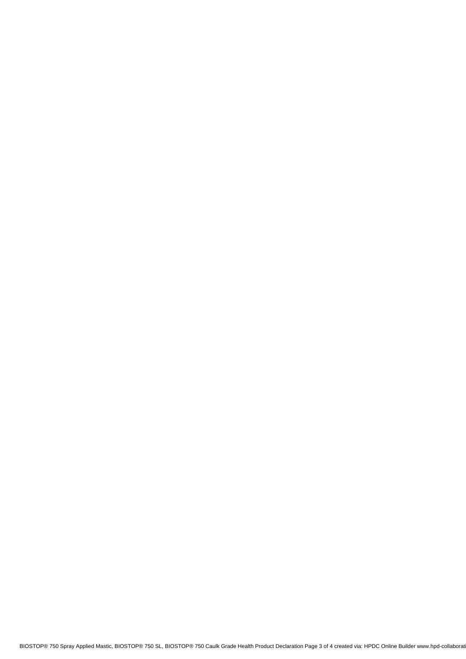BIOSTOP® 750 Spray Applied Mastic, BIOSTOP® 750 SL, BIOSTOP® 750 Caulk Grade Health Product Declaration Page 3 of 4 created via: HPDC Online Builder www.hpd-collaborat